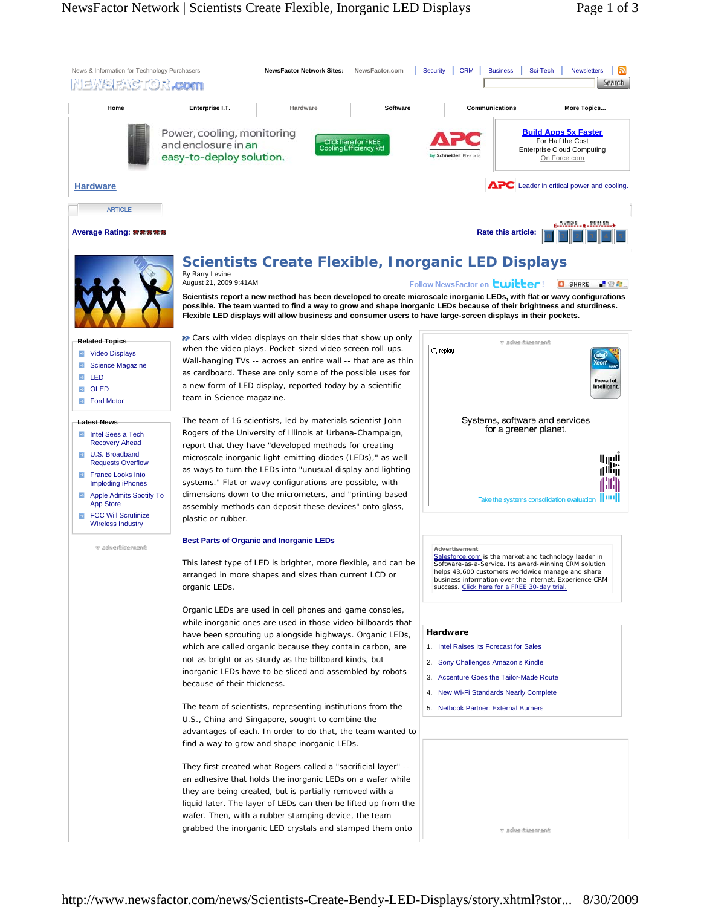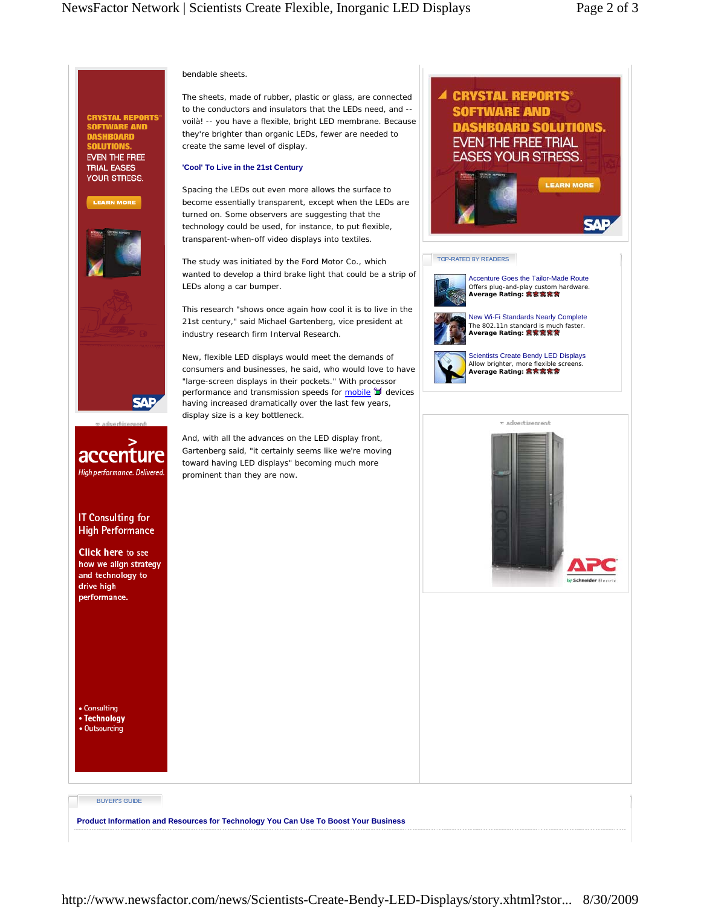# bendable sheets.

**CRYSTAL REPORTS®** SOFTWARE AND<br>DASHBOARD

**EVEN THE FREE TRIAL EASES** YOUR STRESS.

**LEARN MORE** 

**SAP** 

accenture High performance. Delivered.

**IT Consulting for High Performance Click here to see** how we align strategy and technology to drive high performance.

The sheets, made of rubber, plastic or glass, are connected to the conductors and insulators that the LEDs need, and - voilà! -- you have a flexible, bright LED membrane. Because they're brighter than organic LEDs, fewer are needed to create the same level of display.

### **'Cool' To Live in the 21st Century**

Spacing the LEDs out even more allows the surface to become essentially transparent, except when the LEDs are turned on. Some observers are suggesting that the technology could be used, for instance, to put flexible, transparent-when-off video displays into textiles.

The study was initiated by the Ford Motor Co., which wanted to develop a third brake light that could be a strip of LEDs along a car bumper.

This research "shows once again how cool it is to live in the 21st century," said Michael Gartenberg, vice president at industry research firm Interval Research.

New, flexible LED displays would meet the demands of consumers and businesses, he said, who would love to have "large-screen displays in their pockets." With processor performance and transmission speeds for  $\frac{mobile}{\blacksquare}$  devices having increased dramatically over the last few years, display size is a key bottleneck.

And, with all the advances on the LED display front, Gartenberg said, "it certainly seems like we're moving toward having LED displays" becoming much more prominent than they are now.



• Technology • Outsourcing

• Consulting

## **BUYER'S GUIDE**

**Product Information and Resources for Technology You Can Use To Boost Your Business**